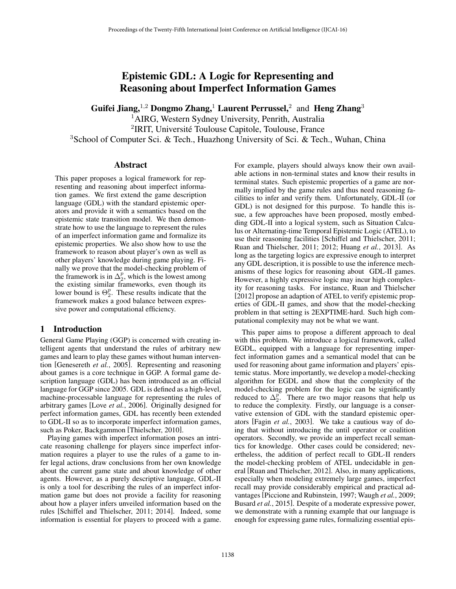# Epistemic GDL: A Logic for Representing and Reasoning about Imperfect Information Games

Guifei Jiang,<sup>1,2</sup> Dongmo Zhang,<sup>1</sup> Laurent Perrussel,<sup>2</sup> and Heng Zhang<sup>3</sup>

<sup>1</sup>AIRG, Western Sydney University, Penrith, Australia <sup>2</sup>IRIT, Université Toulouse Capitole, Toulouse, France

<sup>3</sup>School of Computer Sci. & Tech., Huazhong University of Sci. & Tech., Wuhan, China

## Abstract

This paper proposes a logical framework for representing and reasoning about imperfect information games. We first extend the game description language (GDL) with the standard epistemic operators and provide it with a semantics based on the epistemic state transition model. We then demonstrate how to use the language to represent the rules of an imperfect information game and formalize its epistemic properties. We also show how to use the framework to reason about player's own as well as other players' knowledge during game playing. Finally we prove that the model-checking problem of the framework is in  $\Delta_2^p$ , which is the lowest among the existing similar frameworks, even though its lower bound is  $\Theta_2^p$ . These results indicate that the framework makes a good balance between expressive power and computational efficiency.

# 1 Introduction

General Game Playing (GGP) is concerned with creating intelligent agents that understand the rules of arbitrary new games and learn to play these games without human intervention [Genesereth *et al.*, 2005]. Representing and reasoning about games is a core technique in GGP. A formal game description language (GDL) has been introduced as an official language for GGP since 2005. GDL is defined as a high-level, machine-processable language for representing the rules of arbitrary games [Love *et al.*, 2006]. Originally designed for perfect information games, GDL has recently been extended to GDL-II so as to incorporate imperfect information games, such as Poker, Backgammon [Thielscher, 2010].

Playing games with imperfect information poses an intricate reasoning challenge for players since imperfect information requires a player to use the rules of a game to infer legal actions, draw conclusions from her own knowledge about the current game state and about knowledge of other agents. However, as a purely descriptive language, GDL-II is only a tool for describing the rules of an imperfect information game but does not provide a facility for reasoning about how a player infers unveiled information based on the rules [Schiffel and Thielscher, 2011; 2014]. Indeed, some information is essential for players to proceed with a game. For example, players should always know their own available actions in non-terminal states and know their results in terminal states. Such epistemic properties of a game are normally implied by the game rules and thus need reasoning facilities to infer and verify them. Unfortunately, GDL-II (or GDL) is not designed for this purpose. To handle this issue, a few approaches have been proposed, mostly embedding GDL-II into a logical system, such as Situation Calculus or Alternating-time Temporal Epistemic Logic (ATEL), to use their reasoning facilities [Schiffel and Thielscher, 2011; Ruan and Thielscher, 2011; 2012; Huang *et al.*, 2013]. As long as the targeting logics are expressive enough to interpret any GDL description, it is possible to use the inference mechanisms of these logics for reasoning about GDL-II games. However, a highly expressive logic may incur high complexity for reasoning tasks. For instance, Ruan and Thielscher [2012] propose an adaption of ATEL to verify epistemic properties of GDL-II games, and show that the model-checking problem in that setting is 2EXPTIME-hard. Such high computational complexity may not be what we want.

This paper aims to propose a different approach to deal with this problem. We introduce a logical framework, called EGDL, equipped with a language for representing imperfect information games and a semantical model that can be used for reasoning about game information and players' epistemic status. More importantly, we develop a model-checking algorithm for EGDL and show that the complexity of the model-checking problem for the logic can be significantly reduced to  $\Delta_2^p$ . There are two major reasons that help us to reduce the complexity. Firstly, our language is a conservative extension of GDL with the standard epistemic operators [Fagin *et al.*, 2003]. We take a cautious way of doing that without introducing the until operator or coalition operators. Secondly, we provide an imperfect recall semantics for knowledge. Other cases could be considered; nevertheless, the addition of perfect recall to GDL-II renders the model-checking problem of ATEL undecidable in general [Ruan and Thielscher, 2012]. Also, in many applications, especially when modeling extremely large games, imperfect recall may provide considerably empirical and practical advantages [Piccione and Rubinstein, 1997; Waugh *et al.*, 2009; Busard *et al.*, 2015]. Despite of a moderate expressive power, we demonstrate with a running example that our language is enough for expressing game rules, formalizing essential epis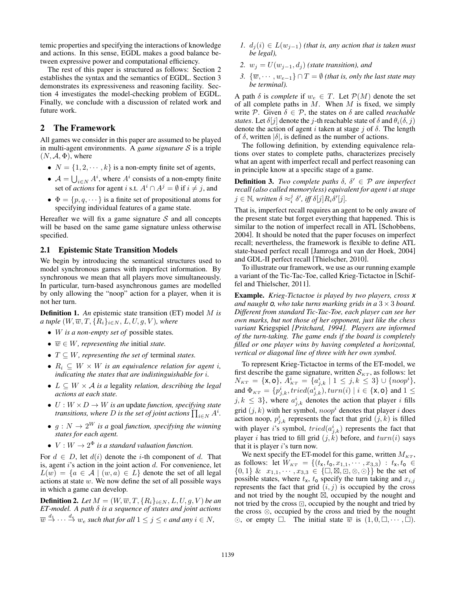temic properties and specifying the interactions of knowledge and actions. In this sense, EGDL makes a good balance between expressive power and computational efficiency.

The rest of this paper is structured as follows: Section 2 establishes the syntax and the semantics of EGDL. Section 3 demonstrates its expressiveness and reasoning facility. Section 4 investigates the model-checking problem of EGDL. Finally, we conclude with a discussion of related work and future work.

# 2 The Framework

All games we consider in this paper are assumed to be played in multi-agent environments. A *game signature S* is a triple  $(N, \mathcal{A}, \Phi)$ , where

- $N = \{1, 2, \dots, k\}$  is a non-empty finite set of agents,
- $A = \bigcup_{i \in N} A^i$ , where  $A^i$  consists of a non-empty finite set of *actions* for agent *i* s.t.  $A^i \cap A^j = \emptyset$  if  $i \neq j$ , and
- $\Phi = \{p, q, \dots\}$  is a finite set of propositional atoms for specifying individual features of a game state.

Hereafter we will fix a game signature *S* and all concepts will be based on the same game signature unless otherwise specified.

## 2.1 Epistemic State Transition Models

We begin by introducing the semantical structures used to model synchronous games with imperfect information. By synchronous we mean that all players move simultaneously. In particular, turn-based asynchronous games are modelled by only allowing the "noop" action for a player, when it is not her turn.

Definition 1. *An* epistemic state transition (ET) model *M is a tuple*  $(W, \overline{w}, T, \{R_i\}_{i \in N}, L, U, g, V)$ *, where* 

- *• W is a non-empty set of* possible states*.*
- $\overline{w} \in W$ *, representing the initial state.*
- $T \subseteq W$ *, representing the set of terminal states.*
- $R_i \subseteq W \times W$  *is an equivalence relation for agent <i>i*, *indicating the states that are indistinguishable for i.*
- $L \subseteq W \times A$  *is a* legality *relation, describing the legal actions at each state.*
- $U: W \times D \rightarrow W$  *is an update function, specifying state transitions, where D is the set of joint actions*  $\prod_{i \in N} A^i$ .
- $g: N \to 2^W$  *is a* goal *function, specifying the winning states for each agent.*
- $V: W \to 2^{\Phi}$  *is a standard valuation function.*

For  $d \in D$ , let  $d(i)$  denote the *i*-th component of *d*. That is, agent *i*'s action in the joint action *d*. For convenience, let  $L(w) = \{a \in \mathcal{A} \mid (w, a) \in L\}$  denote the set of all legal actions at state *w*. We now define the set of all possible ways in which a game can develop.

**Definition 2.** Let  $M = (W, \overline{w}, T, \{R_i\}_{i \in N}, L, U, g, V)$  be an  $ET$ -model. A path  $\delta$  is a sequence of states and joint actions  $\overline{w} \stackrel{d_1}{\rightarrow} \cdots \stackrel{d_e}{\rightarrow} w_e$  such that for all  $1 \leq j \leq e$  and any  $i \in N$ ,

- *1.*  $d_i(i) \in L(w_{i-1})$  (that is, any action that is taken must *be legal),*
- 2.  $w_j = U(w_{j-1}, d_j)$  *(state transition), and*
- *3.*  $\{\overline{w}, \dots, w_{e-1}\} \cap T = \emptyset$  (that is, only the last state may *be terminal).*

A path  $\delta$  is *complete* if  $w_e \in T$ . Let  $\mathcal{P}(M)$  denote the set of all complete paths in *M*. When *M* is fixed, we simply write P. Given  $\delta \in \mathcal{P}$ , the states on  $\delta$  are called *reachable states*. Let  $\delta[j]$  denote the *j*-th reachable state of  $\delta$  and  $\theta_i(\delta, j)$ denote the action of agent *i* taken at stage *j* of  $\delta$ . The length of  $\delta$ , written  $|\delta|$ , is defined as the number of actions.

The following definition, by extending equivalence relations over states to complete paths, characterizes precisely what an agent with imperfect recall and perfect reasoning can in principle know at a specific stage of a game.

**Definition 3.** *Two complete paths*  $\delta$ ,  $\delta' \in \mathcal{P}$  *are imperfect recall (also called memoryless) equivalent for agent i at stage*  $j \in \mathbb{N}$ , written  $\delta \approx_i^j \delta'$ , iff  $\delta[j] R_i \delta'[j]$ .

That is, imperfect recall requires an agent to be only aware of the present state but forget everything that happened. This is similar to the notion of imperfect recall in ATL [Schobbens, 2004]. It should be noted that the paper focuses on imperfect recall; nevertheless, the framework is flexible to define ATL state-based perfect recall [Jamroga and van der Hoek, 2004] and GDL-II perfect recall [Thielscher, 2010].

To illustrate our framework, we use as our running example a variant of the Tic-Tac-Toe, called Krieg-Tictactoe in [Schiffel and Thielscher, 2011].

Example. *Krieg-Tictactoe is played by two players, cross x and naught* 0, who take turns marking grids in a  $3 \times 3$  board. *Different from standard Tic-Tac-Toe, each player can see her own marks, but not those of her opponent, just like the chess variant* Kriegspiel *[Pritchard, 1994]. Players are informed of the turn-taking. The game ends if the board is completely filled or one player wins by having completed a horizontal, vertical or diagonal line of three with her own symbol.*

To represent Krieg-Tictactoe in terms of the ET-model, we first describe the game signature, written  $S_{KT}$ , as follows: let  $N_{KT} = \{X, 0\}, \, \tilde{A}_{KT}^i = \{a_{j,k}^i \mid 1 \leq j, k \leq 3\} \cup \{noop^i\},\,$ and  $\Phi_{\scriptscriptstyle KT} = \{p_{j,k}^i, tried(a_{j,k}^i), turn(i) \mid i \in \{\texttt{X},\texttt{O}\}$  and  $1 \leq$  $j, k \leq 3$ , where  $a_{j,k}^i$  denotes the action that player *i* fills grid  $(j, k)$  with her symbol,  $noop<sup>i</sup>$  denotes that player *i* does action noop,  $p_{j,k}^i$  represents the fact that grid  $(j,k)$  is filled with player *i*'s symbol,  $tried(a^{i}_{j,k})$  represents the fact that player *i* has tried to fill grid  $(j, k)$  before, and  $turn(i)$  says that it is player *i*'s turn now.

We next specify the ET-model for this game, written  $M_{KT}$ , as follows: let  $W_{KT} = \{(t_x, t_0, x_{1,1}, \dots, x_{3,3}) : t_x, t_0 \in$  $\{0,1\}$  &  $x_{1,1}, \dots, x_{3,3} \in \{\Box, \boxtimes, \Box, \Diamond, \odot\}\}$  be the set of possible states, where  $t_x$ ,  $t_0$  specify the turn taking and  $x_{i,j}$ represents the fact that grid  $(i, j)$  is occupied by the cross and not tried by the nought  $\boxtimes$ , occupied by the nought and not tried by the cross  $\Box$ , occupied by the nought and tried by the cross  $\otimes$ , occupied by the cross and tried by the nought  $\odot$ , or empty  $\Box$ . The initial state  $\overline{w}$  is  $(1,0,\Box,\cdots,\Box)$ .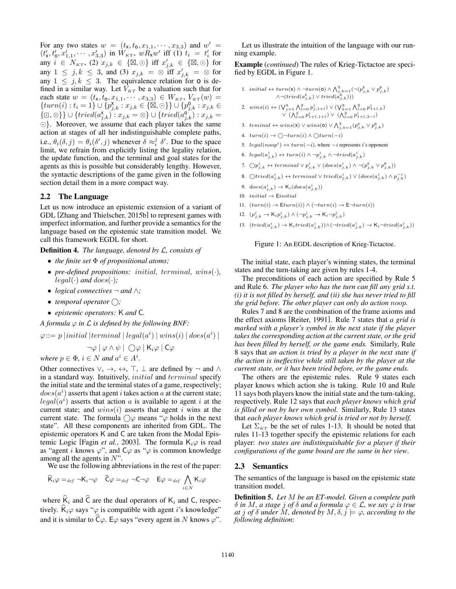For any two states  $w = (t_x, t_0, x_{1,1}, \dots, x_{3,3})$  and  $w' =$  $(t'_x, t'_0, x'_{1,1}, \cdots, x'_{3,3})$  in  $W_{KT}$ ,  $wR_xw'$  iff (1)  $t_i = t'_i$  for any  $i \in N_{\kappa T}$ , (2)  $x_{j,k} \in \{\boxtimes, \odot\}$  iff  $x'_{j,k} \in \{\boxtimes, \odot\}$  for any  $1 \leq j, k \leq 3$ , and (3)  $x_{j,k} = \otimes$  iff  $x'_{j,k} = \otimes$  for any  $1 \leq j, k \leq 3$ . The equivalence relation for **o** is defined in a similar way. Let  $V_{KT}$  be a valuation such that for each state  $w = (t_x, t_0, x_{1,1}, \dots, x_{3,3}) \in W_{KT}$ ,  $V_{KT}(w) =$  ${turn(i): t_i = 1} \cup \{p^{\mathbf{x}}_{j,k} : x_{j,k} \in \{\boxtimes, \odot\}\} \cup \{p^{\mathbf{0}}_{j,k} : x_{j,k} \in \mathbb{R}$  ${(\Box, \otimes)} \cup {tried(a^{\mathbf{x}}_{j,k}) : x_{j,k} = \otimes} \cup {tried(a^{\mathbf{0}}_{j,k}) : x_{j,k} = \circ}$  $\odot$ . Moreover, we assume that each player takes the same action at stages of all her indistinguishable complete paths, i.e.,  $\theta_i(\delta, j) = \theta_i(\delta', j)$  whenever  $\delta \approx_i^j \delta'$ . Due to the space limit, we refrain from explicitly listing the legality relation, the update function, and the terminal and goal states for the agents as this is possible but considerably lengthy. However, the syntactic descriptions of the game given in the following section detail them in a more compact way.

#### 2.2 The Language

Let us now introduce an epistemic extension of a variant of GDL [Zhang and Thielscher, 2015b] to represent games with imperfect information, and further provide a semantics for the language based on the epistemic state transition model. We call this framework EGDL for short.

Definition 4. *The language, denoted by L, consists of*

- *• the finite set of propositional atoms;*
- *• pre-defined propositions: initial, terminal, wins*(*·*)*,*  $legal(\cdot)$  *and*  $does(\cdot)$ *;*
- *logical connectives*  $\neg$  *and*  $\wedge$ *;*
- *temporal operator*  $\bigcirc$ ;
- *• epistemic operators:* K *and* C*.*

*A formula*  $\varphi$  *in*  $\mathcal L$  *is defined by the following BNF:* 

$$
\varphi ::= p ~|initial ~| terminal ~|~ legal(a^i) ~|~ wins(i) ~|~ does(a^i) ~|~
$$

 $\neg \varphi \mid \varphi \wedge \psi \mid \bigcirc \varphi \mid \mathsf{K}_i \varphi \mid \mathsf{C} \varphi$ 

*where*  $p \in \Phi$ ,  $i \in N$  *and*  $a^i \in A^i$ .

Other connectives  $\vee, \rightarrow, \leftrightarrow, \top, \bot$  are defined by  $\neg$  and  $\wedge$ in a standard way. Intuitively, *initial* and *terminal* specify the initial state and the terminal states of a game, respectively;  $does (a^i)$  asserts that agent *i* takes action *a* at the current state;  $legal(a<sup>i</sup>)$  asserts that action *a* is available to agent *i* at the current state; and *wins*(*i*) asserts that agent *i* wins at the current state. The formula  $\bigcirc \varphi$  means " $\varphi$  holds in the next state". All these components are inherited from GDL. The epistemic operators K and C are taken from the Modal Epistemic Logic [Fagin *et al.*, 2003]. The formula  $K_i\varphi$  is read as "agent *i* knows  $\varphi$ ", and  $C\varphi$  as " $\varphi$  is common knowledge among all the agents in *N*".

We use the following abbreviations in the rest of the paper:

$$
\widehat{K}_i \varphi =_{def} \neg K_i \neg \varphi \quad \widehat{C} \varphi =_{def} \neg C \neg \varphi \quad E \varphi =_{def} \bigwedge_{i \in N} K_i \varphi
$$

where  $\widehat{K}_i$  and  $\widehat{C}$  are the dual operators of  $K_i$  and C, respectively.  $\hat{K}_i \varphi$  says " $\varphi$  is compatible with agent *i*'s knowledge" and it is similar to  $\widehat{C}\varphi$ . E $\varphi$  says "every agent in *N* knows  $\varphi$ ".

Let us illustrate the intuition of the language with our running example.

Example (*continued*) The rules of Krieg-Tictactoe are specified by EGDL in Figure 1.

1. initial 
$$
\leftrightarrow
$$
 turn(**x**)  $\land \neg turn(\mathbf{0}) \land \bigwedge_{j,k=1}^{3} (\neg (p_{j,k}^x \lor p_{j,k}^2) \land \neg (tried(a_{j,k}^x) \lor tried(a_{j,k}^2)))$ 

2. 
$$
wins(i) \leftrightarrow (\bigvee_{j=1}^{3} \bigwedge_{l=0}^{2} p_{j,1+l}^{i}) \vee (\bigvee_{k=1}^{3} \bigwedge_{l=0}^{2} p_{1+l,k}^{i})
$$

$$
\vee (\bigwedge_{l=0}^{2} p_{1+l,1+l}^{i}) \vee (\bigwedge_{l=0}^{3} p_{1+l,3-l}^{i})
$$

- 3.  ${\it terminal \leftrightarrow wins(x) \lor wins(o) \lor \bigwedge_{j,k=1}^{3} (p_{j,k}^{x} \lor p_{j,k}^{0})}$
- 4.  $turn(i) \rightarrow \bigcirc \neg turn(i) \land \bigcirc turn(-i)$
- 5.  $legal(noop<sup>i</sup>) \leftrightarrow turn(-i)$ , where  $-i$  represents *i*'s opponent
- 6.  $legal(a^i_{j,k}) \leftrightarrow turn(i) \land \neg p^i_{j,k} \land \neg tried(a^i_{j,k})$
- $7. \bigcirc p_{j,k}^{i} \leftrightarrow terminal \vee p_{j,k}^{i} \vee (does(a_{j,k}^{i}) \wedge \neg (p_{j,k}^{x} \vee p_{j,k}^{0}))$
- $8. \ \text{ $\bigcirc \text{tried}(a^i_{j,k}) \leftrightarrow \text{terminal} \vee \text{ tried}(a^i_{j,k}) \vee (\text{does}(a^i_{j,k}) \wedge p^{-i}_{j,k})$$
- 9.  $\text{does}(a^i_{j,k}) \to \mathsf{K}_i(\text{does}(a^i_{j,k}))$
- 10.  $initial \rightarrow$  **Einitial**
- 11.  $(turn(i) \rightarrow Eturn(i)) \land (\neg turn(i) \rightarrow E\neg turn(i))$
- 12.  $(p_{j,k}^i \to K_i p_{j,k}^i) \wedge (\neg p_{j,k}^i \to K_i \neg p_{j,k}^i)$
- 13.  $(tried(a^i_{j,k}) \rightarrow K_i tried(a^i_{j,k})) \land (\neg tried(a^i_{j,k}) \rightarrow K_i \neg tried(a^i_{j,k}))$

#### Figure 1: An EGDL description of Krieg-Tictactoe.

The initial state, each player's winning states, the terminal states and the turn-taking are given by rules 1-4.

The preconditions of each action are specified by Rule 5 and Rule 6. *The player who has the turn can fill any grid s.t. (i) it is not filled by herself, and (ii) she has never tried to fill the grid before. The other player can only do action noop.*

Rules 7 and 8 are the combination of the frame axioms and the effect axioms [Reiter, 1991]. Rule 7 states that *a grid is marked with a player's symbol in the next state if the player takes the corresponding action at the current state, or the grid has been filled by herself, or the game ends.* Similarly, Rule 8 says that *an action is tried by a player in the next state if the action is ineffective while still taken by the player at the current state, or it has been tried before, or the game ends.*

The others are the epistemic rules. Rule 9 states each player knows which action she is taking. Rule 10 and Rule 11 says both players know the initial state and the turn-taking, respectively. Rule 12 says that *each player knows which grid is filled or not by her own symbol.* Similarly, Rule 13 states that *each player knows which grid is tried or not by herself.*

Let  $\Sigma_{KT}$  be the set of rules 1-13. It should be noted that rules 11-13 together specify the epistemic relations for each player: *two states are indistinguishable for a player if their configurations of the game board are the same in her view*.

#### 2.3 Semantics

The semantics of the language is based on the epistemic state transition model.

Definition 5. *Let M be an ET-model. Given a complete path*  $\delta$  *in M, a stage j of*  $\delta$  *and a formula*  $\varphi \in \mathcal{L}$ *, we say*  $\varphi$  *is true at j of*  $\delta$  *under*  $M$ *, denoted by*  $M$ *,*  $\delta$ *,*  $j \models \varphi$ *, according to the following definition*: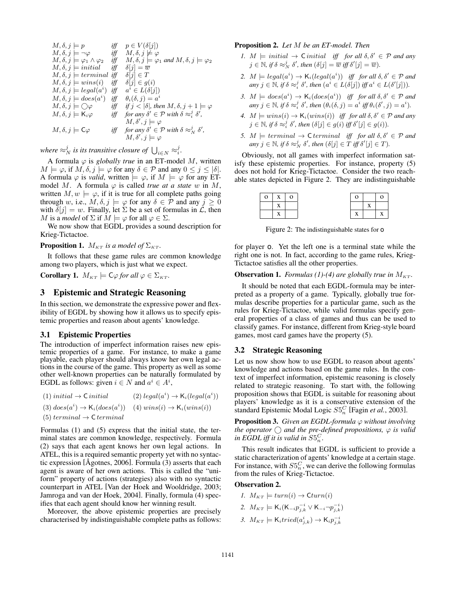$$
M, \delta, j \models p \quad \text{iff} \quad p \in V(\delta[j])
$$
  
\n
$$
M, \delta, j \models \neg \varphi \quad \text{iff} \quad M, \delta, j \not\models \varphi
$$
  
\n
$$
M, \delta, j \models \varphi_1 \land \varphi_2 \quad \text{iff} \quad M, \delta, j \models \varphi_1 \text{ and } M, \delta, j \models \varphi_2
$$
  
\n
$$
M, \delta, j \models initial \quad \text{iff} \quad \delta[j] = \overline{w}
$$
  
\n
$$
M, \delta, j \models terminal \quad \text{iff} \quad \delta[j] \in T
$$
  
\n
$$
M, \delta, j \models unins(i) \quad \text{iff} \quad \delta[j] \in g(i)
$$
  
\n
$$
M, \delta, j \models legal(a^i) \quad \text{iff} \quad a^i \in L(\delta[j])
$$
  
\n
$$
M, \delta, j \models does(a^i) \quad \text{iff} \quad \delta, (\delta, j) = a^i
$$
  
\n
$$
M, \delta, j \models \bigcirc \varphi \quad \text{iff} \quad \text{if} \quad j < |\delta|, then \quad M, \delta, j + 1 \models \varphi
$$
  
\n
$$
M, \delta, j \models K_i \varphi \quad \text{iff} \quad \text{for any} \quad \delta' \in \mathcal{P} \text{ with } \delta \approx i \quad M, \delta', j \models \varphi
$$
  
\n
$$
M, \delta, j \models C\varphi \quad \text{iff} \quad \text{for any} \quad \delta' \in \mathcal{P} \text{ with } \delta \approx i \quad M, \delta', j \models \varphi
$$
  
\n
$$
M, \delta, j \models C\varphi \quad \text{iff} \quad \text{for any} \quad \delta' \in \mathcal{P} \text{ with } \delta \approx i \quad M, \delta', j \models \varphi
$$
  
\n
$$
M, \delta, j \models C\varphi \quad \text{iff} \quad \text{for any} \quad \delta' \in \mathcal{P} \text{ with } \delta \approx i \quad M, \delta', j \models \varphi
$$

where  $\approx_N^j$  is its transitive closure of  $\bigcup_{i\in N}\approx_i^j$ .

A formula  $\varphi$  is *globally true* in an ET-model *M*, written  $M \models \varphi$ , if  $M, \delta, j \models \varphi$  for any  $\delta \in \mathcal{P}$  and any  $0 \leq j \leq |\delta|$ . A formula  $\varphi$  is *valid*, written  $\models \varphi$ , if  $M \models \varphi$  for any ETmodel M. A formula  $\varphi$  is called *true at a state w* in M, written  $M, w \models \varphi$ , if it is true for all complete paths going through *w*, i.e.,  $M, \delta, j \models \varphi$  for any  $\delta \in \mathcal{P}$  and any  $j \geq 0$ with  $\delta[j] = w$ . Finally, let  $\Sigma$  be a set of formulas in  $\mathcal{L}$ , then *M* is a *model* of  $\Sigma$  if  $M \models \varphi$  for all  $\varphi \in \Sigma$ .

We now show that EGDL provides a sound description for Krieg-Tictactoe.

**Proposition 1.**  $M_{KT}$  *is a model of*  $\Sigma_{KT}$ *.* 

It follows that these game rules are common knowledge among two players, which is just what we expect.

**Corollary 1.**  $M_{KT} \models C\varphi$  for all  $\varphi \in \Sigma_{KT}$ .

## 3 Epistemic and Strategic Reasoning

In this section, we demonstrate the expressive power and flexibility of EGDL by showing how it allows us to specify epistemic properties and reason about agents' knowledge.

#### 3.1 Epistemic Properties

The introduction of imperfect information raises new epistemic properties of a game. For instance, to make a game playable, each player should always know her own legal actions in the course of the game. This property as well as some other well-known properties can be naturally formulated by EGDL as follows: given  $i \in N$  and  $a^i \in A^i$ ,

| $(1)$ initial $\rightarrow$ C initial                                             | $(2)$ legal $(a^i) \rightarrow K_i (legal(a^i))$ |
|-----------------------------------------------------------------------------------|--------------------------------------------------|
| (3) $does(a^i) \rightarrow K_i(does(a^i))$ (4) $wins(i) \rightarrow K_i(wins(i))$ |                                                  |
| $(5) terminal \rightarrow \text{C terminal}$                                      |                                                  |

Formulas (1) and (5) express that the initial state, the terminal states are common knowledge, respectively. Formula (2) says that each agent knows her own legal actions. In ATEL, this is a required semantic property yet with no syntactic expression [ $\text{Agotnes}, 2006$ ]. Formula (3) asserts that each agent is aware of her own actions. This is called the "uniform" property of actions (strategies) also with no syntactic counterpart in ATEL [Van der Hoek and Wooldridge, 2003; Jamroga and van der Hoek, 2004]. Finally, formula (4) specifies that each agent should know her winning result.

Moreover, the above epistemic properties are precisely characterised by indistinguishable complete paths as follows:

#### Proposition 2. *Let M be an ET-model. Then*

- *1.*  $M \models initial \rightarrow \text{C } initial$  *iff for all*  $\delta, \delta' \in \mathcal{P}$  *and any*  $j \in \mathbb{N}$ , if  $\delta \approx_N^j \delta'$ , then  $(\delta[j] = \overline{w}$  iff  $\delta'[j] = \overline{w}$ ).
- 2.  $M \models legal(a^i) \rightarrow K_i(legal(a^i))$  *iff for all*  $\delta, \delta' \in \mathcal{P}$  *and*  $any \, j \in \mathbb{N}, \, if \, \delta \approx_i^j \delta', \, then \, (a^i \in L(\delta[j]) \, iff \, a^i \in L(\delta'[j])).$
- *3.*  $M \models does(a^i) \rightarrow \mathsf{K}_i(does(a^i))$  *iff for all*  $\delta, \delta' \in \mathcal{P}$  *and*  $any \ j \in \mathbb{N}, if \ \delta \approx_i^j \delta', then \ (\theta_i(\delta, j) = a^i \ iff \ \theta_i(\delta', j) = a^i).$
- 4.  $M \models wins(i) \rightarrow K_i(wins(i))$  *iff for all*  $\delta, \delta' \in \mathcal{P}$  *and any*  $j \in \mathbb{N}$ , if  $\delta \approx_i^j \delta'$ , then  $(\delta[j] \in g(i)$  iff  $\delta'[j] \in g(i)$ ).
- *5.*  $M \models terminal \rightarrow \text{C terminal}$  *iff for all*  $\delta, \delta' \in \mathcal{P}$  *and*  $any \, j \in \mathbb{N}, \, if \, \delta \approx_N^j \delta', \, then \, (\delta[j] \in T \, iff \, \delta'[j] \in T).$

Obviously, not all games with imperfect information satisfy these epistemic properties. For instance, property (5) does not hold for Krieg-Tictactoe. Consider the two reachable states depicted in Figure 2. They are indistinguishable

| $\overline{O}$ | X | $\Omega$ |  |  |
|----------------|---|----------|--|--|
|                |   |          |  |  |
|                |   |          |  |  |

Figure 2: The indistinguishable states for o

for player o. Yet the left one is a terminal state while the right one is not. In fact, according to the game rules, Krieg-Tictactoe satisfies all the other properties.

#### **Observation 1.** *Formulas* (1)-(4) are globally true in  $M_{KT}$ .

It should be noted that each EGDL-formula may be interpreted as a property of a game. Typically, globally true formulas describe properties for a particular game, such as the rules for Krieg-Tictactoe, while valid formulas specify general properties of a class of games and thus can be used to classify games. For instance, different from Krieg-style board games, most card games have the property (5).

#### 3.2 Strategic Reasoning

Let us now show how to use EGDL to reason about agents' knowledge and actions based on the game rules. In the context of imperfect information, epistemic reasoning is closely related to strategic reasoning. To start with, the following proposition shows that EGDL is suitable for reasoning about players' knowledge as it is a conservative extension of the standard Epistemic Modal Logic *S*5*<sup>C</sup> <sup>n</sup>* [Fagin *et al.*, 2003].

**Proposition 3.** *Given an EGDL-formula*  $\varphi$  *without involving the operator*  $\bigcap$  *and the pre-defined propositions,*  $\varphi$  *is valid in EGDL iff it is valid in*  $S5_n^C$ .

This result indicates that EGDL is sufficient to provide a static characterization of agents' knowledge at a certain stage. For instance, with  $S5_n^C$ , we can derive the following formulas from the rules of Krieg-Tictactoe.

#### Observation 2.

- *1.*  $M_{KT} \models turn(i) \rightarrow Cturn(i)$
- 2.  $M_{KT} \models K_i(K_{-i}p_{j,k}^{-i} \vee K_{-i} \neg p_{j,k}^{-i})$
- 3.  $M_{KT} \models K_i tried(a^i_{j,k}) \rightarrow K_i p^{-i}_{j,k}$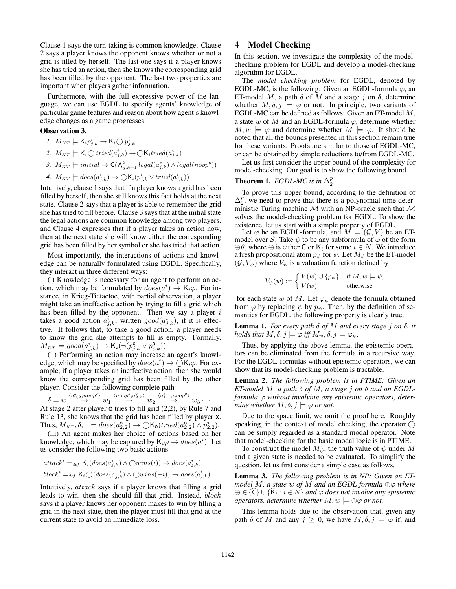Clause 1 says the turn-taking is common knowledge. Clause 2 says a player knows the opponent knows whether or not a grid is filled by herself. The last one says if a player knows she has tried an action, then she knows the corresponding grid has been filled by the opponent. The last two properties are important when players gather information.

Furthermore, with the full expressive power of the language, we can use EGDL to specify agents' knowledge of particular game features and reason about how agent's knowledge changes as a game progresses.

#### Observation 3.

*1.*  $M_{KT} \models K_i p_{j,k}^i \rightarrow K_i \bigcirc p_{j,k}^i$ 2.  $M_{KT} \models \mathsf{K}_i \bigcirc \mathit{tried}(a^i_{j,k}) \rightarrow \bigcirc \mathsf{K}_i \mathit{tried}(a^i_{j,k})$ 3.  $M_{KT} \models initial \rightarrow \mathsf{C}(\bigwedge_{j,k=1}^3 legal(a_{j,k}^{\mathsf{x}}) \wedge legal(noop^o))$ 

4. 
$$
M_{KT} \models does(a^i_{j,k}) \rightarrow \bigcirc \mathsf{K}_i(p^i_{j,k} \vee tried(a^i_{j,k}))
$$

Intuitively, clause 1 says that if a player knows a grid has been filled by herself, then she still knows this fact holds at the next state. Clause 2 says that a player is able to remember the grid she has tried to fill before. Clause 3 says that at the initial state the legal actions are common knowledge among two players, and Clause 4 expresses that if a player takes an action now, then at the next state she will know either the corresponding grid has been filled by her symbol or she has tried that action.

Most importantly, the interactions of actions and knowledge can be naturally formulated using EGDL. Specifically, they interact in three different ways:

(i) Knowledge is necessary for an agent to perform an action, which may be formulated by  $does(a^i) \rightarrow K_i \varphi$ . For instance, in Krieg-Tictactoe, with partial observation, a player might take an ineffective action by trying to fill a grid which has been filled by the opponent. Then we say a player *i* takes a good action  $a_{j,k}^i$ , written  $good(a_{j,k}^i)$ , if it is effective. It follows that, to take a good action, a player needs to know the grid she attempts to fill is empty. Formally,  $M_{\text{KT}} \models good(a^i_{j,k}) \rightarrow \mathsf{K}_i(\neg (p^{\mathsf{X}}_{j,k} \lor p^{\mathsf{o}}_{j,k})).$ 

(ii) Performing an action may increase an agent's knowledge, which may be specified by  $does(a^i) \rightarrow \bigcirc K_i \varphi$ . For example, if a player takes an ineffective action, then she would know the corresponding grid has been filled by the other player. Consider the following complete path

$$
\delta = \overline{w}\stackrel{\langle a_{2,2}^{\mathbf{x}},\noop^{\mathbf{0}}\rangle}{\rightarrow}w_1 \stackrel{\langle \noop^{\mathbf{x}},a_{2,2}^{\mathbf{x}}\rangle}{\rightarrow} w_2 \stackrel{\langle a_{1,1}^{\mathbf{x}},\noop^{\mathbf{0}}\rangle}{\rightarrow}w_3
$$

 $\delta = \overline{w}$   $\rightarrow$   $\alpha_1$   $\rightarrow$   $\alpha_2$   $\rightarrow$   $\alpha_3$   $\cdots$ <br>At stage 2 after player 0 tries to fill grid (2,2), by Rule 7 and Rule 13, she knows that the grid has been filled by player x. Thus,  $M_{KT}$ ,  $\delta$ ,  $1 \models does(a_{2,2}^{\mathbf{0}}) \rightarrow \bigcirc \mathsf{K}_{\mathbf{0}}(tried(a_{2,2}^{\mathbf{0}}) \wedge p_{2,2}^{\mathbf{x}}).$ 

(iii) An agent makes her choice of actions based on her knowledge, which may be captured by  $K_i \varphi \to does (a^i)$ . Let us consider the following two basic actions:

$$
attacki = def Ki(does(aj,ki) \wedge \bigcirc wins(i)) \rightarrow does(aj,ki)
$$
  

$$
blocki = def Ki \bigcirc (does(aj,k-i) \wedge \bigcirc wins(-i)) \rightarrow does(aj,ki)
$$

Intuitively, *attack* says if a player knows that filling a grid leads to win, then she should fill that grid. Instead, *block* says if a player knows her opponent makes to win by filling a grid in the next state, then the player must fill that grid at the current state to avoid an immediate loss.

# 4 Model Checking

In this section, we investigate the complexity of the modelchecking problem for EGDL and develop a model-checking algorithm for EGDL.

The *model checking problem* for EGDL, denoted by EGDL-MC, is the following: Given an EGDL-formula  $\varphi$ , an ET-model  $M$ , a path  $\delta$  of  $M$  and a stage  $j$  on  $\delta$ , determine whether  $M, \delta, j \models \varphi$  or not. In principle, two variants of EGDL-MC can be defined as follows: Given an ET-model *M*, a state  $w$  of  $M$  and an EGDL-formula  $\varphi$ , determine whether  $M, w \models \varphi$  and determine whether  $M \models \varphi$ . It should be noted that all the bounds presented in this section remain true for these variants. Proofs are similar to those of EGDL-MC, or can be obtained by simple reductions to/from EGDL-MC.

Let us first consider the upper bound of the complexity for model-checking. Our goal is to show the following bound.

# **Theorem 1.** *EGDL-MC is in*  $\Delta_2^p$ .

To prove this upper bound, according to the definition of  $\Delta_2^p$ , we need to prove that there is a polynomial-time deterministic Turing machine *M* with an NP-oracle such that *M* solves the model-checking problem for EGDL. To show the existence, let us start with a simple property of EGDL.

Let  $\varphi$  be an EGDL-formula, and  $\overline{M} = (\mathcal{G}, V)$  be an ETmodel over *S*. Take  $\psi$  to be any subformula of  $\varphi$  of the form  $\oplus \vartheta$ , where  $\oplus$  is either C or K<sub>*i*</sub> for some  $i \in N$ . We introduce a fresh propositional atom  $p_{\psi}$  for  $\psi$ . Let  $M_{\psi}$  be the ET-model  $(G, V_{\psi})$  where  $V_{\psi}$  is a valuation function defined by

$$
V_{\psi}(w) := \begin{cases} V(w) \cup \{p_{\psi}\} & \text{if } M, w \models \psi; \\ V(w) & \text{otherwise} \end{cases}
$$

for each state *w* of *M*. Let  $\varphi_{\psi}$  denote the formula obtained from  $\varphi$  by replacing  $\psi$  by  $p_{\psi}$ . Then, by the definition of semantics for EGDL, the following property is clearly true.

**Lemma 1.** For every path  $\delta$  of  $M$  and every stage  $j$  on  $\delta$ , it *holds that*  $M, \delta, j \models \varphi$  *iff*  $M_{\psi}, \delta, j \models \varphi_{\psi}$ .

Thus, by applying the above lemma, the epistemic operators can be eliminated from the formula in a recursive way. For the EGDL-formulas without epistemic operators, we can show that its model-checking problem is tractable.

Lemma 2. *The following problem is in PTIME: Given an ET-model M*, a path  $\delta$  of *M*, a stage *j* on  $\delta$  and an EGDLformula  $\varphi$  without involving any epistemic operators, deter*mine whether*  $M, \delta, j \models \varphi$  *or not.* 

Due to the space limit, we omit the proof here. Roughly speaking, in the context of model checking, the operator  $\bigcap$ can be simply regarded as a standard modal operator. Note that model-checking for the basic modal logic is in PTIME.

To construct the model  $M_{\psi}$ , the truth value of  $\psi$  under M and a given state is needed to be evaluated. To simplify the question, let us first consider a simple case as follows.

Lemma 3. *The following problem is in NP: Given an ETmodel M*, a state w of *M* and an *EGDL*-formula  $\oplus \varphi$  where  $\oplus \in {\hat{C}} \cup {\hat{K}}_i : i \in N$  *and*  $\varphi$  *does not involve any epistemic operators, determine whether*  $M, w \models \bigoplus \varphi$  or not.

This lemma holds due to the observation that, given any path  $\delta$  of *M* and any  $j \geq 0$ , we have  $M, \delta, j \models \varphi$  if, and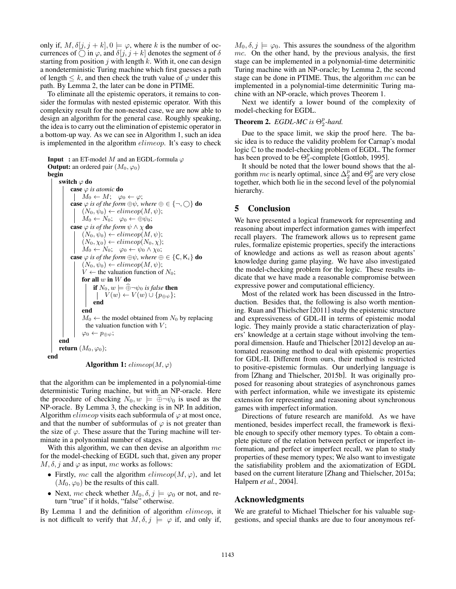only if,  $M$ ,  $\delta[j, j + k]$ ,  $0 \models \varphi$ , where *k* is the number of occurrences of  $\bigcirc$  in  $\varphi$ , and  $\delta[j, j + k]$  denotes the segment of  $\delta$ starting from position *j* with length *k*. With it, one can design a nondeterministic Turing machine which first guesses a path of length  $\leq k$ , and then check the truth value of  $\varphi$  under this path. By Lemma 2, the later can be done in PTIME.

To eliminate all the epistemic operators, it remains to consider the formulas with nested epistemic operator. With this complexity result for the non-nested case, we are now able to design an algorithm for the general case. Roughly speaking, the idea is to carry out the elimination of epistemic operator in a bottom-up way. As we can see in Algorithm 1, such an idea is implemented in the algorithm *elimeop*. It's easy to check

```
Input : an ET-model M and an EGDL-formula \varphiOutput: an ordered pair (M_0, \varphi_0)begin
      switch \varphi do
            case \varphi is atomic do
             M_0 \leftarrow M; \varphi_0 \leftarrow \varphi;case \varphi is of the form \oplus \psi, where \oplus \in \{\neg, \bigcirc\} do
                  (N_0, \psi_0) \leftarrow elimeop(M, \psi);
                  M_0 \leftarrow N_0; \varphi_0 \leftarrow \oplus \psi_0;
            case \varphi is of the form \psi \wedge \chi do
                  (N_0, \psi_0) \leftarrow elimeop(M, \psi);
                  (N_0, \chi_0) \leftarrow elimeop(N_0, \chi);
                  M_0 \leftarrow N_0; \varphi_0 \leftarrow \psi_0 \wedge \chi_0;
            case \varphi is of the form \oplus \psi, where \oplus \in \{C, K_i\} do
                  (N_0, \psi_0) \leftarrow elimeop(M, \psi);
                  V \leftarrow the valuation function of N<sub>0</sub>;
                  for all w in W do
                        if N_0, w \models \oplus \neg \psi_0 is false then
                            V(w) \leftarrow V(w) \cup \{p_{\oplus w}\};end
                  end
                  M_0 \leftarrow the model obtained from N_0 by replacing
                    the valuation function with V;
                  \varphi_0 \leftarrow p_{\oplus \psi};end
      return (M_0, \varphi_0);
end
                    Algorithm 1: \text{elimeop}(M, \varphi)
```
that the algorithm can be implemented in a polynomial-time deterministic Turing machine, but with an NP-oracle. Here the procedure of checking  $N_0, w \models \widehat{\oplus} \neg \psi_0$  is used as the NP-oracle. By Lemma 3, the checking is in NP. In addition, Algorithm  $\mathit{elimeop}$  visits each subformula of  $\varphi$  at most once, and that the number of subformulas of  $\varphi$  is not greater than the size of  $\varphi$ . These assure that the Turing machine will terminate in a polynomial number of stages.

With this algorithm, we can then devise an algorithm *mc* for the model-checking of EGDL such that, given any proper  $M, \delta, j$  and  $\varphi$  as input, *mc* works as follows:

- Firstly, *mc* call the algorithm  $\text{elimeop}(M, \varphi)$ , and let  $(M_0, \varphi_0)$  be the results of this call.
- Next, *mc* check whether  $M_0$ ,  $\delta$ ,  $j \models \varphi_0$  or not, and return "true" if it holds, "false" otherwise.

By Lemma 1 and the definition of algorithm *elimeop*, it is not difficult to verify that  $M, \delta, j \models \varphi$  if, and only if,  $M_0, \delta, j \models \varphi_0$ . This assures the soundness of the algorithm *mc*. On the other hand, by the previous analysis, the first stage can be implemented in a polynomial-time determinitic Turing machine with an NP-oracle; by Lemma 2, the second stage can be done in PTIME. Thus, the algorithm *mc* can be implemented in a polynomial-time determinitic Turing machine with an NP-oracle, which proves Theorem 1.

Next we identify a lower bound of the complexity of model-checking for EGDL.

# **Theorem 2.** *EGDL-MC is*  $\Theta_2^p$ -hard.

Due to the space limit, we skip the proof here. The basic idea is to reduce the validity problem for Carnap's modal logic C to the model-checking problem of EGDL. The former has been proved to be  $\Theta_2^p$ -complete [Gottlob, 1995].

It should be noted that the lower bound shows that the algorithm *mc* is nearly optimal, since  $\Delta_2^p$  and  $\Theta_2^p$  are very close together, which both lie in the second level of the polynomial hierarchy.

## 5 Conclusion

We have presented a logical framework for representing and reasoning about imperfect information games with imperfect recall players. The framework allows us to represent game rules, formalize epistemic properties, specify the interactions of knowledge and actions as well as reason about agents' knowledge during game playing. We have also investigated the model-checking problem for the logic. These results indicate that we have made a reasonable compromise between expressive power and computational efficiency.

Most of the related work has been discussed in the Introduction. Besides that, the following is also worth mentioning. Ruan and Thielscher [2011] study the epistemic structure and expressiveness of GDL-II in terms of epistemic modal logic. They mainly provide a static characterization of players' knowledge at a certain stage without involving the temporal dimension. Haufe and Thielscher [2012] develop an automated reasoning method to deal with epistemic properties for GDL-II. Different from ours, their method is restricted to positive-epistemic formulas. Our underlying language is from [Zhang and Thielscher, 2015b]. It was originally proposed for reasoning about strategies of asynchronous games with perfect information, while we investigate its epistemic extension for representing and reasoning about synchronous games with imperfect information.

Directions of future research are manifold. As we have mentioned, besides imperfect recall, the framework is flexible enough to specify other memory types. To obtain a complete picture of the relation between perfect or imperfect information, and perfect or imperfect recall, we plan to study properties of these memory types; We also want to investigate the satisfiability problem and the axiomatization of EGDL based on the current literature [Zhang and Thielscher, 2015a; Halpern *et al.*, 2004].

### Acknowledgments

We are grateful to Michael Thielscher for his valuable suggestions, and special thanks are due to four anonymous ref